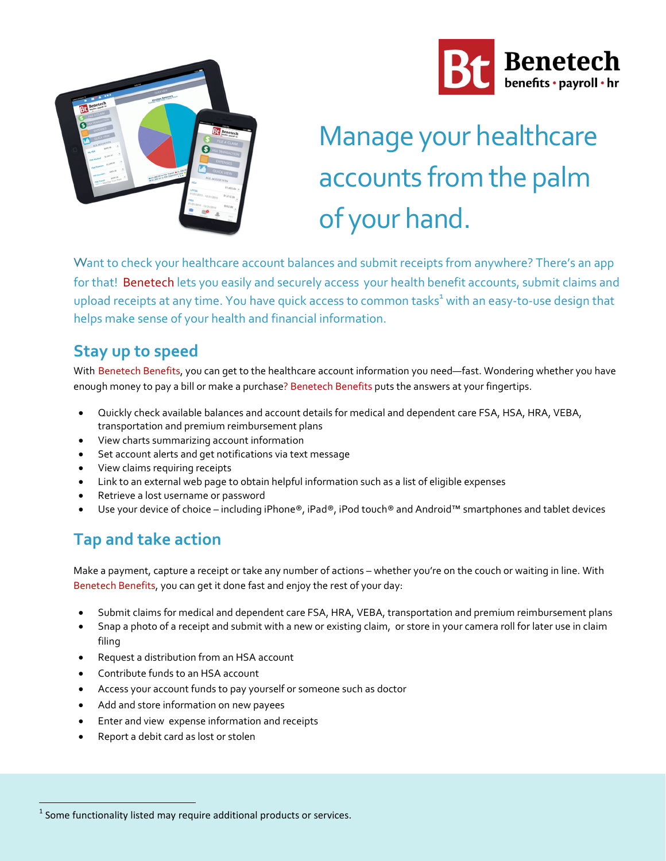



# Manage your healthcare accounts from the palm of your hand.

Want to check your healthcare account balances and submit receipts from anywhere? There's an app for that! Benetech lets you easily and securely access your health benefit accounts, submit claims and upload receipts at any time. You have quick access to common tasks<sup>1</sup> with an easy-to-use design that helps make sense of your health and financial information.

### **Stay up to speed**

With Benetech Benefits, you can get to the healthcare account information you need—fast. Wondering whether you have enough money to pay a bill or make a purchase? Benetech Benefits puts the answers at your fingertips.

- Quickly check available balances and account details for medical and dependent care FSA, HSA, HRA, VEBA, transportation and premium reimbursement plans
- View charts summarizing account information
- Set account alerts and get notifications via text message
- View claims requiring receipts
- Link to an external web page to obtain helpful information such as a list of eligible expenses
- Retrieve a lost username or password
- Use your device of choice including iPhone®, iPad®, iPod touch® and Android™ smartphones and tablet devices

### **Tap and take action**

Make a payment, capture a receipt or take any number of actions – whether you're on the couch or waiting in line. With Benetech Benefits, you can get it done fast and enjoy the rest of your day:

- Submit claims for medical and dependent care FSA, HRA, VEBA, transportation and premium reimbursement plans
- Snap a photo of a receipt and submit with a new or existing claim, or store in your camera roll for later use in claim filing
- Request a distribution from an HSA account
- Contribute funds to an HSA account
- Access your account funds to pay yourself or someone such as doctor
- Add and store information on new payees
- Enter and view expense information and receipts
- Report a debit card as lost or stolen

 $<sup>1</sup>$  Some functionality listed may require additional products or services.</sup>